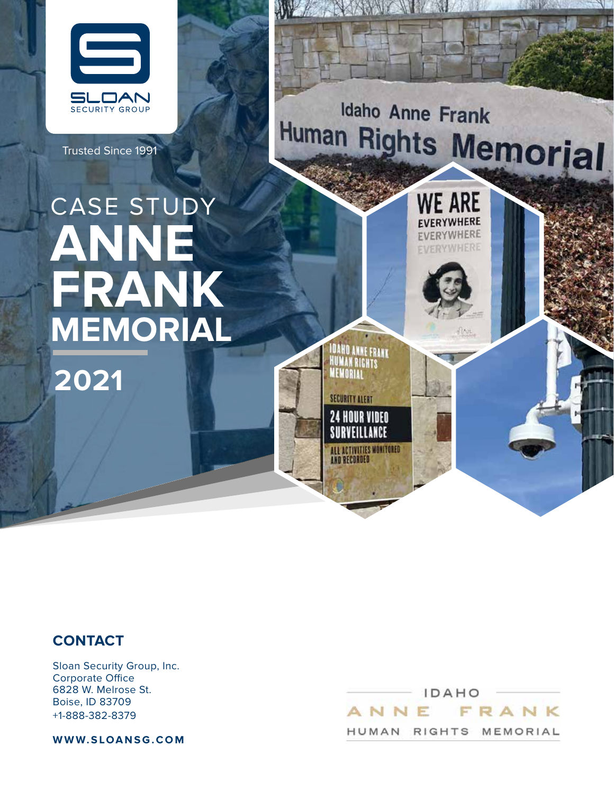

Trusted Since 1991

Idaho Anne Frank Human Rights Memorial

IDAHO ANNE FRANK<br>HUMAN RIGHTS<br>MEMODIA

**MEMORIAL** 

**SECURITY ALERT 24 HOUR VIDEO** SURVEILLANCE

ALL ACTIVITIES MONITORED<br>AND RECORDED

**WE ARE FVERYWHERE EVERYWHERE FVERYWHERE** 

# CASE STUDY **ANNE FRANK MEMORIAL**

**2021**



Sloan Security Group, Inc. Corporate Office 6828 W. Melrose St. Boise, ID 83709 +1-888-382-8379

**WWW.SLOANSG.COM**

IDAHO FRANK ANNE HUMAN RIGHTS MEMORIAL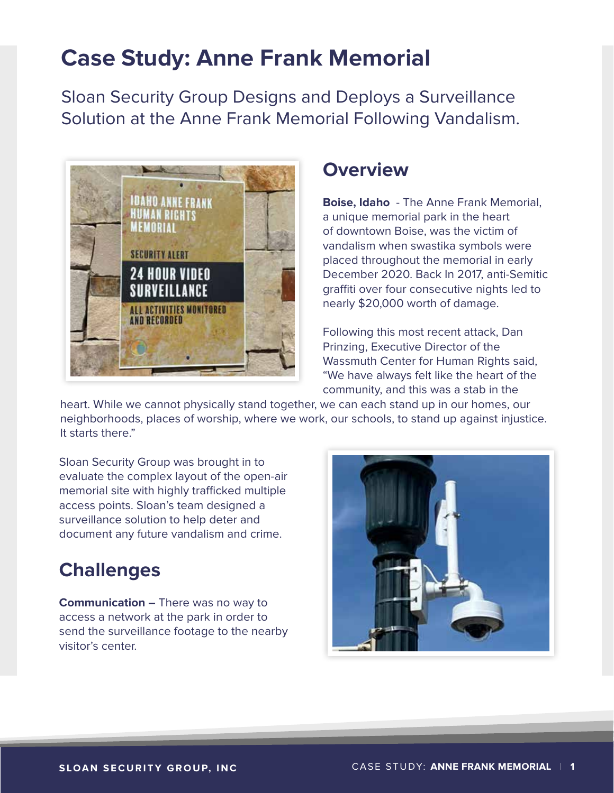# **Case Study: Anne Frank Memorial**

Sloan Security Group Designs and Deploys a Surveillance Solution at the Anne Frank Memorial Following Vandalism.



### **Overview**

**Boise, Idaho** - The Anne Frank Memorial, a unique memorial park in the heart of downtown Boise, was the victim of vandalism when swastika symbols were placed throughout the memorial in early December 2020. Back In 2017, anti-Semitic graffiti over four consecutive nights led to nearly \$20,000 worth of damage.

Following this most recent attack, Dan Prinzing, Executive Director of the Wassmuth Center for Human Rights said, "We have always felt like the heart of the community, and this was a stab in the

heart. While we cannot physically stand together, we can each stand up in our homes, our neighborhoods, places of worship, where we work, our schools, to stand up against injustice. It starts there."

Sloan Security Group was brought in to evaluate the complex layout of the open-air memorial site with highly trafficked multiple access points. Sloan's team designed a surveillance solution to help deter and document any future vandalism and crime.

# **Challenges**

**Communication –** There was no way to access a network at the park in order to send the surveillance footage to the nearby visitor's center.

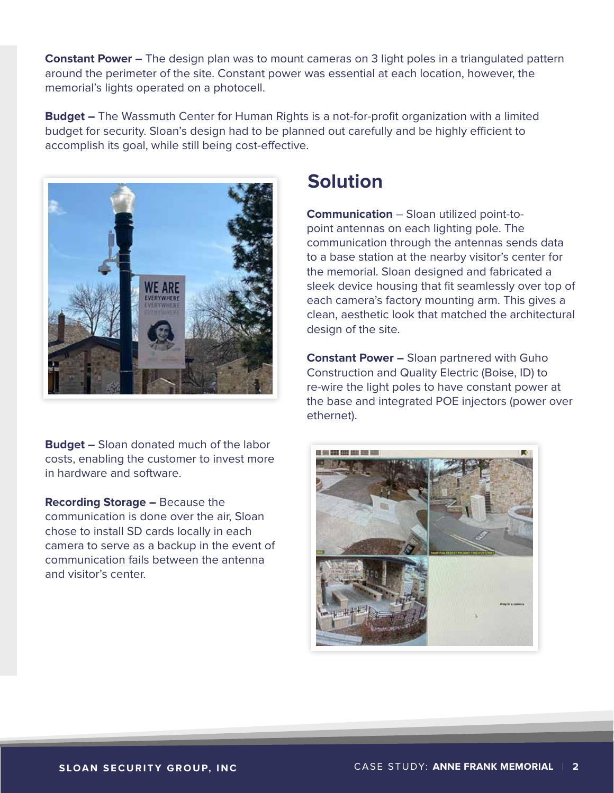**Constant Power –** The design plan was to mount cameras on 3 light poles in a triangulated pattern around the perimeter of the site. Constant power was essential at each location, however, the memorial's lights operated on a photocell.

**Budget –** The Wassmuth Center for Human Rights is a not-for-profit organization with a limited budget for security. Sloan's design had to be planned out carefully and be highly efficient to accomplish its goal, while still being cost-effective.



**Budget –** Sloan donated much of the labor costs, enabling the customer to invest more in hardware and software.

**Recording Storage –** Because the communication is done over the air, Sloan chose to install SD cards locally in each camera to serve as a backup in the event of communication fails between the antenna and visitor's center.

## **Solution**

**Communication** – Sloan utilized point-topoint antennas on each lighting pole. The communication through the antennas sends data to a base station at the nearby visitor's center for the memorial. Sloan designed and fabricated a sleek device housing that fit seamlessly over top of each camera's factory mounting arm. This gives a clean, aesthetic look that matched the architectural design of the site.

**Constant Power –** Sloan partnered with Guho Construction and Quality Electric (Boise, ID) to re-wire the light poles to have constant power at the base and integrated POE injectors (power over ethernet).